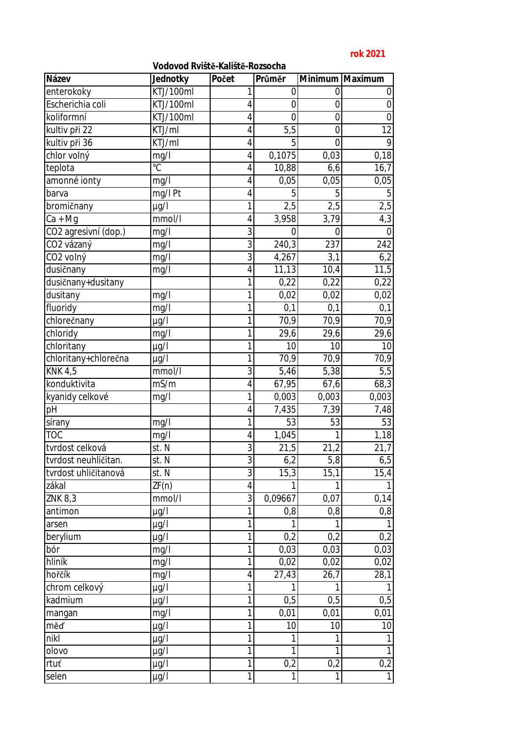## **rok 2021**

## **Vodovod Rviště-Kaliště-Rozsocha**

| enterokoky<br>0<br>1<br>0<br>0<br>$\mathbf 0$<br>Escherichia coli<br>KTJ/100ml<br>$\overline{0}$<br>4<br>$\mathbf 0$<br>koliformní<br>KTJ/100ml<br>$\overline{4}$<br>$\mathbf 0$<br>$\overline{0}$<br>$\mathbf 0$<br>kultiv při 22<br>5,5<br>12<br>$\overline{4}$<br>$\mathbf 0$<br>KTJ/ml<br>kultiv při 36<br>9<br>KTJ/ml<br>$\overline{4}$<br>5<br>$\overline{0}$<br>chlor volný<br>mg/l<br>0,1075<br>0,03<br>0,18<br>$\overline{4}$<br>$\overline{C}$<br>10,88<br>teplota<br>4<br>16,7<br>6, 6<br>amonné ionty<br>$\overline{4}$<br>0,05<br>0,05<br>0,05<br>mg/l<br>mg/l Pt<br>$\overline{4}$<br>5<br>5<br>5<br>barva<br>bromičnany<br>1<br>2,5<br>2,5<br>2,5<br>$\mu$ g/l<br>4,3<br>3,958<br>$\overline{4}$<br>3,79<br>mmol/l<br>Ca + Mg<br>3<br>CO2 agresivní (dop.)<br>mg/l<br>$\mathbf 0$<br>$\Omega$<br>0<br>$\overline{3}$<br>240,3<br>242<br>CO2 vázaný<br>mg/l<br>237<br>3<br>4,267<br>CO2 volný<br>3,1<br>mg/l<br>6,2<br>11,5<br>dusičnany<br>$\overline{4}$<br>11,13<br>10,4<br>mg/l<br>1<br>0,22<br>0,22<br>0,22<br>dusičnany+dusitany<br>dusitany<br>1<br>0,02<br>0,02<br>mg/l<br>0,02<br>1<br>0,1<br>fluoridy<br>0,1<br>0,1<br>mg/l<br>70,9<br>chlorečnany<br>1<br>70,9<br>70,9<br>$\mu$ g/l<br>chloridy<br>mg/l<br>29,6<br>29,6<br>29,6<br>1<br>chloritany<br>10<br>10<br>1<br>10<br>$\mu$ g/l<br>1<br>chloritany+chlorečna<br>70,9<br>70,9<br>70,9<br>$\mu$ g/l<br><b>KNK 4,5</b><br>5,46<br>5,38<br>mmol/l<br>3<br>5,5<br>konduktivita<br>mS/m<br>$\overline{4}$<br>67,95<br>68,3<br>67,6<br>0,003<br>0,003<br>0,003<br>kyanidy celkové<br>1<br>mg/l<br>$p\overline{H}$<br>7,435<br>7,39<br>7,48<br>4<br>$\mathbf{1}$<br>53<br>53<br>53<br>sírany<br>mg/l<br>1,045<br><b>TOC</b><br>$\overline{4}$<br>1,18<br>mg/l<br>1<br>3<br>tvrdost celková<br>st. N<br>21,5<br>21,2<br>21,7<br>$\overline{3}$<br>6,2<br>6,5<br>5,8<br>st. N<br>tvrdost neuhličitan.<br>3<br>tvrdost uhličitanová<br>15,3<br>15,4<br>st. N<br>15,1<br>ZF(n)<br>zákal<br>4<br>1<br>1<br>3<br>0,09667<br>mmol/1<br>0,07<br>0,14<br>ZNK 8,3<br>antimon<br>1<br>0,8<br>0,8<br>0,8<br>$\mu$ g/l<br>1<br>1<br>1<br>1<br>$\mu$ g/l<br>arsen<br>berylium<br>1<br>0,2<br>0,2<br>$\mu$ g/l<br>0,2<br>1<br>0,03<br>0,03<br>0,03<br>bór<br>mg/l<br>hliník<br>1<br>0,02<br>mg/l<br>0,02<br>0,02<br>hořčík<br>$\overline{27,43}$<br>mg/I<br>28,1<br>4<br>26,7<br>$\mathbf{1}$<br>chrom celkový<br>$\mu$ g/l<br>1<br>1<br>kadmium<br>0,5<br>0,5<br>$\mu$ g/l<br>0,5<br>1<br>0,01<br>0,01<br>0,01<br>mg/l<br>mangan<br>1<br>10<br>10<br>10<br>měď<br>$\mu$ g/l<br>nikl<br>$\mu$ g/l<br>1<br>1<br>1<br>1<br>$\mathbf{1}$<br>olovo<br>1<br>1<br>1<br>$\mu$ g/l<br>0,2<br>$\mathbf{1}$<br>0,2<br>0,2<br>rtuť<br>$\mu$ g/l | Název | Jednotky  | Počet        | Průměr |   | Minimum Maximum |
|-----------------------------------------------------------------------------------------------------------------------------------------------------------------------------------------------------------------------------------------------------------------------------------------------------------------------------------------------------------------------------------------------------------------------------------------------------------------------------------------------------------------------------------------------------------------------------------------------------------------------------------------------------------------------------------------------------------------------------------------------------------------------------------------------------------------------------------------------------------------------------------------------------------------------------------------------------------------------------------------------------------------------------------------------------------------------------------------------------------------------------------------------------------------------------------------------------------------------------------------------------------------------------------------------------------------------------------------------------------------------------------------------------------------------------------------------------------------------------------------------------------------------------------------------------------------------------------------------------------------------------------------------------------------------------------------------------------------------------------------------------------------------------------------------------------------------------------------------------------------------------------------------------------------------------------------------------------------------------------------------------------------------------------------------------------------------------------------------------------------------------------------------------------------------------------------------------------------------------------------------------------------------------------------------------------------------------------------------------------------------------------------------------------------------------------------------------------------------------------------------------------------------------------------------------------------------------------------------------------------------------------------------------------------------------------------------|-------|-----------|--------------|--------|---|-----------------|
|                                                                                                                                                                                                                                                                                                                                                                                                                                                                                                                                                                                                                                                                                                                                                                                                                                                                                                                                                                                                                                                                                                                                                                                                                                                                                                                                                                                                                                                                                                                                                                                                                                                                                                                                                                                                                                                                                                                                                                                                                                                                                                                                                                                                                                                                                                                                                                                                                                                                                                                                                                                                                                                                                               |       | KTJ/100ml |              |        |   |                 |
|                                                                                                                                                                                                                                                                                                                                                                                                                                                                                                                                                                                                                                                                                                                                                                                                                                                                                                                                                                                                                                                                                                                                                                                                                                                                                                                                                                                                                                                                                                                                                                                                                                                                                                                                                                                                                                                                                                                                                                                                                                                                                                                                                                                                                                                                                                                                                                                                                                                                                                                                                                                                                                                                                               |       |           |              |        |   |                 |
|                                                                                                                                                                                                                                                                                                                                                                                                                                                                                                                                                                                                                                                                                                                                                                                                                                                                                                                                                                                                                                                                                                                                                                                                                                                                                                                                                                                                                                                                                                                                                                                                                                                                                                                                                                                                                                                                                                                                                                                                                                                                                                                                                                                                                                                                                                                                                                                                                                                                                                                                                                                                                                                                                               |       |           |              |        |   |                 |
|                                                                                                                                                                                                                                                                                                                                                                                                                                                                                                                                                                                                                                                                                                                                                                                                                                                                                                                                                                                                                                                                                                                                                                                                                                                                                                                                                                                                                                                                                                                                                                                                                                                                                                                                                                                                                                                                                                                                                                                                                                                                                                                                                                                                                                                                                                                                                                                                                                                                                                                                                                                                                                                                                               |       |           |              |        |   |                 |
|                                                                                                                                                                                                                                                                                                                                                                                                                                                                                                                                                                                                                                                                                                                                                                                                                                                                                                                                                                                                                                                                                                                                                                                                                                                                                                                                                                                                                                                                                                                                                                                                                                                                                                                                                                                                                                                                                                                                                                                                                                                                                                                                                                                                                                                                                                                                                                                                                                                                                                                                                                                                                                                                                               |       |           |              |        |   |                 |
|                                                                                                                                                                                                                                                                                                                                                                                                                                                                                                                                                                                                                                                                                                                                                                                                                                                                                                                                                                                                                                                                                                                                                                                                                                                                                                                                                                                                                                                                                                                                                                                                                                                                                                                                                                                                                                                                                                                                                                                                                                                                                                                                                                                                                                                                                                                                                                                                                                                                                                                                                                                                                                                                                               |       |           |              |        |   |                 |
|                                                                                                                                                                                                                                                                                                                                                                                                                                                                                                                                                                                                                                                                                                                                                                                                                                                                                                                                                                                                                                                                                                                                                                                                                                                                                                                                                                                                                                                                                                                                                                                                                                                                                                                                                                                                                                                                                                                                                                                                                                                                                                                                                                                                                                                                                                                                                                                                                                                                                                                                                                                                                                                                                               |       |           |              |        |   |                 |
|                                                                                                                                                                                                                                                                                                                                                                                                                                                                                                                                                                                                                                                                                                                                                                                                                                                                                                                                                                                                                                                                                                                                                                                                                                                                                                                                                                                                                                                                                                                                                                                                                                                                                                                                                                                                                                                                                                                                                                                                                                                                                                                                                                                                                                                                                                                                                                                                                                                                                                                                                                                                                                                                                               |       |           |              |        |   |                 |
|                                                                                                                                                                                                                                                                                                                                                                                                                                                                                                                                                                                                                                                                                                                                                                                                                                                                                                                                                                                                                                                                                                                                                                                                                                                                                                                                                                                                                                                                                                                                                                                                                                                                                                                                                                                                                                                                                                                                                                                                                                                                                                                                                                                                                                                                                                                                                                                                                                                                                                                                                                                                                                                                                               |       |           |              |        |   |                 |
|                                                                                                                                                                                                                                                                                                                                                                                                                                                                                                                                                                                                                                                                                                                                                                                                                                                                                                                                                                                                                                                                                                                                                                                                                                                                                                                                                                                                                                                                                                                                                                                                                                                                                                                                                                                                                                                                                                                                                                                                                                                                                                                                                                                                                                                                                                                                                                                                                                                                                                                                                                                                                                                                                               |       |           |              |        |   |                 |
|                                                                                                                                                                                                                                                                                                                                                                                                                                                                                                                                                                                                                                                                                                                                                                                                                                                                                                                                                                                                                                                                                                                                                                                                                                                                                                                                                                                                                                                                                                                                                                                                                                                                                                                                                                                                                                                                                                                                                                                                                                                                                                                                                                                                                                                                                                                                                                                                                                                                                                                                                                                                                                                                                               |       |           |              |        |   |                 |
|                                                                                                                                                                                                                                                                                                                                                                                                                                                                                                                                                                                                                                                                                                                                                                                                                                                                                                                                                                                                                                                                                                                                                                                                                                                                                                                                                                                                                                                                                                                                                                                                                                                                                                                                                                                                                                                                                                                                                                                                                                                                                                                                                                                                                                                                                                                                                                                                                                                                                                                                                                                                                                                                                               |       |           |              |        |   |                 |
|                                                                                                                                                                                                                                                                                                                                                                                                                                                                                                                                                                                                                                                                                                                                                                                                                                                                                                                                                                                                                                                                                                                                                                                                                                                                                                                                                                                                                                                                                                                                                                                                                                                                                                                                                                                                                                                                                                                                                                                                                                                                                                                                                                                                                                                                                                                                                                                                                                                                                                                                                                                                                                                                                               |       |           |              |        |   |                 |
|                                                                                                                                                                                                                                                                                                                                                                                                                                                                                                                                                                                                                                                                                                                                                                                                                                                                                                                                                                                                                                                                                                                                                                                                                                                                                                                                                                                                                                                                                                                                                                                                                                                                                                                                                                                                                                                                                                                                                                                                                                                                                                                                                                                                                                                                                                                                                                                                                                                                                                                                                                                                                                                                                               |       |           |              |        |   |                 |
|                                                                                                                                                                                                                                                                                                                                                                                                                                                                                                                                                                                                                                                                                                                                                                                                                                                                                                                                                                                                                                                                                                                                                                                                                                                                                                                                                                                                                                                                                                                                                                                                                                                                                                                                                                                                                                                                                                                                                                                                                                                                                                                                                                                                                                                                                                                                                                                                                                                                                                                                                                                                                                                                                               |       |           |              |        |   |                 |
|                                                                                                                                                                                                                                                                                                                                                                                                                                                                                                                                                                                                                                                                                                                                                                                                                                                                                                                                                                                                                                                                                                                                                                                                                                                                                                                                                                                                                                                                                                                                                                                                                                                                                                                                                                                                                                                                                                                                                                                                                                                                                                                                                                                                                                                                                                                                                                                                                                                                                                                                                                                                                                                                                               |       |           |              |        |   |                 |
|                                                                                                                                                                                                                                                                                                                                                                                                                                                                                                                                                                                                                                                                                                                                                                                                                                                                                                                                                                                                                                                                                                                                                                                                                                                                                                                                                                                                                                                                                                                                                                                                                                                                                                                                                                                                                                                                                                                                                                                                                                                                                                                                                                                                                                                                                                                                                                                                                                                                                                                                                                                                                                                                                               |       |           |              |        |   |                 |
|                                                                                                                                                                                                                                                                                                                                                                                                                                                                                                                                                                                                                                                                                                                                                                                                                                                                                                                                                                                                                                                                                                                                                                                                                                                                                                                                                                                                                                                                                                                                                                                                                                                                                                                                                                                                                                                                                                                                                                                                                                                                                                                                                                                                                                                                                                                                                                                                                                                                                                                                                                                                                                                                                               |       |           |              |        |   |                 |
|                                                                                                                                                                                                                                                                                                                                                                                                                                                                                                                                                                                                                                                                                                                                                                                                                                                                                                                                                                                                                                                                                                                                                                                                                                                                                                                                                                                                                                                                                                                                                                                                                                                                                                                                                                                                                                                                                                                                                                                                                                                                                                                                                                                                                                                                                                                                                                                                                                                                                                                                                                                                                                                                                               |       |           |              |        |   |                 |
|                                                                                                                                                                                                                                                                                                                                                                                                                                                                                                                                                                                                                                                                                                                                                                                                                                                                                                                                                                                                                                                                                                                                                                                                                                                                                                                                                                                                                                                                                                                                                                                                                                                                                                                                                                                                                                                                                                                                                                                                                                                                                                                                                                                                                                                                                                                                                                                                                                                                                                                                                                                                                                                                                               |       |           |              |        |   |                 |
|                                                                                                                                                                                                                                                                                                                                                                                                                                                                                                                                                                                                                                                                                                                                                                                                                                                                                                                                                                                                                                                                                                                                                                                                                                                                                                                                                                                                                                                                                                                                                                                                                                                                                                                                                                                                                                                                                                                                                                                                                                                                                                                                                                                                                                                                                                                                                                                                                                                                                                                                                                                                                                                                                               |       |           |              |        |   |                 |
|                                                                                                                                                                                                                                                                                                                                                                                                                                                                                                                                                                                                                                                                                                                                                                                                                                                                                                                                                                                                                                                                                                                                                                                                                                                                                                                                                                                                                                                                                                                                                                                                                                                                                                                                                                                                                                                                                                                                                                                                                                                                                                                                                                                                                                                                                                                                                                                                                                                                                                                                                                                                                                                                                               |       |           |              |        |   |                 |
|                                                                                                                                                                                                                                                                                                                                                                                                                                                                                                                                                                                                                                                                                                                                                                                                                                                                                                                                                                                                                                                                                                                                                                                                                                                                                                                                                                                                                                                                                                                                                                                                                                                                                                                                                                                                                                                                                                                                                                                                                                                                                                                                                                                                                                                                                                                                                                                                                                                                                                                                                                                                                                                                                               |       |           |              |        |   |                 |
|                                                                                                                                                                                                                                                                                                                                                                                                                                                                                                                                                                                                                                                                                                                                                                                                                                                                                                                                                                                                                                                                                                                                                                                                                                                                                                                                                                                                                                                                                                                                                                                                                                                                                                                                                                                                                                                                                                                                                                                                                                                                                                                                                                                                                                                                                                                                                                                                                                                                                                                                                                                                                                                                                               |       |           |              |        |   |                 |
|                                                                                                                                                                                                                                                                                                                                                                                                                                                                                                                                                                                                                                                                                                                                                                                                                                                                                                                                                                                                                                                                                                                                                                                                                                                                                                                                                                                                                                                                                                                                                                                                                                                                                                                                                                                                                                                                                                                                                                                                                                                                                                                                                                                                                                                                                                                                                                                                                                                                                                                                                                                                                                                                                               |       |           |              |        |   |                 |
|                                                                                                                                                                                                                                                                                                                                                                                                                                                                                                                                                                                                                                                                                                                                                                                                                                                                                                                                                                                                                                                                                                                                                                                                                                                                                                                                                                                                                                                                                                                                                                                                                                                                                                                                                                                                                                                                                                                                                                                                                                                                                                                                                                                                                                                                                                                                                                                                                                                                                                                                                                                                                                                                                               |       |           |              |        |   |                 |
|                                                                                                                                                                                                                                                                                                                                                                                                                                                                                                                                                                                                                                                                                                                                                                                                                                                                                                                                                                                                                                                                                                                                                                                                                                                                                                                                                                                                                                                                                                                                                                                                                                                                                                                                                                                                                                                                                                                                                                                                                                                                                                                                                                                                                                                                                                                                                                                                                                                                                                                                                                                                                                                                                               |       |           |              |        |   |                 |
|                                                                                                                                                                                                                                                                                                                                                                                                                                                                                                                                                                                                                                                                                                                                                                                                                                                                                                                                                                                                                                                                                                                                                                                                                                                                                                                                                                                                                                                                                                                                                                                                                                                                                                                                                                                                                                                                                                                                                                                                                                                                                                                                                                                                                                                                                                                                                                                                                                                                                                                                                                                                                                                                                               |       |           |              |        |   |                 |
|                                                                                                                                                                                                                                                                                                                                                                                                                                                                                                                                                                                                                                                                                                                                                                                                                                                                                                                                                                                                                                                                                                                                                                                                                                                                                                                                                                                                                                                                                                                                                                                                                                                                                                                                                                                                                                                                                                                                                                                                                                                                                                                                                                                                                                                                                                                                                                                                                                                                                                                                                                                                                                                                                               |       |           |              |        |   |                 |
|                                                                                                                                                                                                                                                                                                                                                                                                                                                                                                                                                                                                                                                                                                                                                                                                                                                                                                                                                                                                                                                                                                                                                                                                                                                                                                                                                                                                                                                                                                                                                                                                                                                                                                                                                                                                                                                                                                                                                                                                                                                                                                                                                                                                                                                                                                                                                                                                                                                                                                                                                                                                                                                                                               |       |           |              |        |   |                 |
|                                                                                                                                                                                                                                                                                                                                                                                                                                                                                                                                                                                                                                                                                                                                                                                                                                                                                                                                                                                                                                                                                                                                                                                                                                                                                                                                                                                                                                                                                                                                                                                                                                                                                                                                                                                                                                                                                                                                                                                                                                                                                                                                                                                                                                                                                                                                                                                                                                                                                                                                                                                                                                                                                               |       |           |              |        |   |                 |
|                                                                                                                                                                                                                                                                                                                                                                                                                                                                                                                                                                                                                                                                                                                                                                                                                                                                                                                                                                                                                                                                                                                                                                                                                                                                                                                                                                                                                                                                                                                                                                                                                                                                                                                                                                                                                                                                                                                                                                                                                                                                                                                                                                                                                                                                                                                                                                                                                                                                                                                                                                                                                                                                                               |       |           |              |        |   |                 |
|                                                                                                                                                                                                                                                                                                                                                                                                                                                                                                                                                                                                                                                                                                                                                                                                                                                                                                                                                                                                                                                                                                                                                                                                                                                                                                                                                                                                                                                                                                                                                                                                                                                                                                                                                                                                                                                                                                                                                                                                                                                                                                                                                                                                                                                                                                                                                                                                                                                                                                                                                                                                                                                                                               |       |           |              |        |   |                 |
|                                                                                                                                                                                                                                                                                                                                                                                                                                                                                                                                                                                                                                                                                                                                                                                                                                                                                                                                                                                                                                                                                                                                                                                                                                                                                                                                                                                                                                                                                                                                                                                                                                                                                                                                                                                                                                                                                                                                                                                                                                                                                                                                                                                                                                                                                                                                                                                                                                                                                                                                                                                                                                                                                               |       |           |              |        |   |                 |
|                                                                                                                                                                                                                                                                                                                                                                                                                                                                                                                                                                                                                                                                                                                                                                                                                                                                                                                                                                                                                                                                                                                                                                                                                                                                                                                                                                                                                                                                                                                                                                                                                                                                                                                                                                                                                                                                                                                                                                                                                                                                                                                                                                                                                                                                                                                                                                                                                                                                                                                                                                                                                                                                                               |       |           |              |        |   |                 |
|                                                                                                                                                                                                                                                                                                                                                                                                                                                                                                                                                                                                                                                                                                                                                                                                                                                                                                                                                                                                                                                                                                                                                                                                                                                                                                                                                                                                                                                                                                                                                                                                                                                                                                                                                                                                                                                                                                                                                                                                                                                                                                                                                                                                                                                                                                                                                                                                                                                                                                                                                                                                                                                                                               |       |           |              |        |   |                 |
|                                                                                                                                                                                                                                                                                                                                                                                                                                                                                                                                                                                                                                                                                                                                                                                                                                                                                                                                                                                                                                                                                                                                                                                                                                                                                                                                                                                                                                                                                                                                                                                                                                                                                                                                                                                                                                                                                                                                                                                                                                                                                                                                                                                                                                                                                                                                                                                                                                                                                                                                                                                                                                                                                               |       |           |              |        |   |                 |
|                                                                                                                                                                                                                                                                                                                                                                                                                                                                                                                                                                                                                                                                                                                                                                                                                                                                                                                                                                                                                                                                                                                                                                                                                                                                                                                                                                                                                                                                                                                                                                                                                                                                                                                                                                                                                                                                                                                                                                                                                                                                                                                                                                                                                                                                                                                                                                                                                                                                                                                                                                                                                                                                                               |       |           |              |        |   |                 |
|                                                                                                                                                                                                                                                                                                                                                                                                                                                                                                                                                                                                                                                                                                                                                                                                                                                                                                                                                                                                                                                                                                                                                                                                                                                                                                                                                                                                                                                                                                                                                                                                                                                                                                                                                                                                                                                                                                                                                                                                                                                                                                                                                                                                                                                                                                                                                                                                                                                                                                                                                                                                                                                                                               |       |           |              |        |   |                 |
|                                                                                                                                                                                                                                                                                                                                                                                                                                                                                                                                                                                                                                                                                                                                                                                                                                                                                                                                                                                                                                                                                                                                                                                                                                                                                                                                                                                                                                                                                                                                                                                                                                                                                                                                                                                                                                                                                                                                                                                                                                                                                                                                                                                                                                                                                                                                                                                                                                                                                                                                                                                                                                                                                               |       |           |              |        |   |                 |
|                                                                                                                                                                                                                                                                                                                                                                                                                                                                                                                                                                                                                                                                                                                                                                                                                                                                                                                                                                                                                                                                                                                                                                                                                                                                                                                                                                                                                                                                                                                                                                                                                                                                                                                                                                                                                                                                                                                                                                                                                                                                                                                                                                                                                                                                                                                                                                                                                                                                                                                                                                                                                                                                                               |       |           |              |        |   |                 |
|                                                                                                                                                                                                                                                                                                                                                                                                                                                                                                                                                                                                                                                                                                                                                                                                                                                                                                                                                                                                                                                                                                                                                                                                                                                                                                                                                                                                                                                                                                                                                                                                                                                                                                                                                                                                                                                                                                                                                                                                                                                                                                                                                                                                                                                                                                                                                                                                                                                                                                                                                                                                                                                                                               |       |           |              |        |   |                 |
|                                                                                                                                                                                                                                                                                                                                                                                                                                                                                                                                                                                                                                                                                                                                                                                                                                                                                                                                                                                                                                                                                                                                                                                                                                                                                                                                                                                                                                                                                                                                                                                                                                                                                                                                                                                                                                                                                                                                                                                                                                                                                                                                                                                                                                                                                                                                                                                                                                                                                                                                                                                                                                                                                               |       |           |              |        |   |                 |
|                                                                                                                                                                                                                                                                                                                                                                                                                                                                                                                                                                                                                                                                                                                                                                                                                                                                                                                                                                                                                                                                                                                                                                                                                                                                                                                                                                                                                                                                                                                                                                                                                                                                                                                                                                                                                                                                                                                                                                                                                                                                                                                                                                                                                                                                                                                                                                                                                                                                                                                                                                                                                                                                                               |       |           |              |        |   |                 |
|                                                                                                                                                                                                                                                                                                                                                                                                                                                                                                                                                                                                                                                                                                                                                                                                                                                                                                                                                                                                                                                                                                                                                                                                                                                                                                                                                                                                                                                                                                                                                                                                                                                                                                                                                                                                                                                                                                                                                                                                                                                                                                                                                                                                                                                                                                                                                                                                                                                                                                                                                                                                                                                                                               |       |           |              |        |   |                 |
|                                                                                                                                                                                                                                                                                                                                                                                                                                                                                                                                                                                                                                                                                                                                                                                                                                                                                                                                                                                                                                                                                                                                                                                                                                                                                                                                                                                                                                                                                                                                                                                                                                                                                                                                                                                                                                                                                                                                                                                                                                                                                                                                                                                                                                                                                                                                                                                                                                                                                                                                                                                                                                                                                               |       |           |              |        |   |                 |
|                                                                                                                                                                                                                                                                                                                                                                                                                                                                                                                                                                                                                                                                                                                                                                                                                                                                                                                                                                                                                                                                                                                                                                                                                                                                                                                                                                                                                                                                                                                                                                                                                                                                                                                                                                                                                                                                                                                                                                                                                                                                                                                                                                                                                                                                                                                                                                                                                                                                                                                                                                                                                                                                                               | selen | $\mu$ g/l | $\mathbf{1}$ | 1      | 1 | $\overline{1}$  |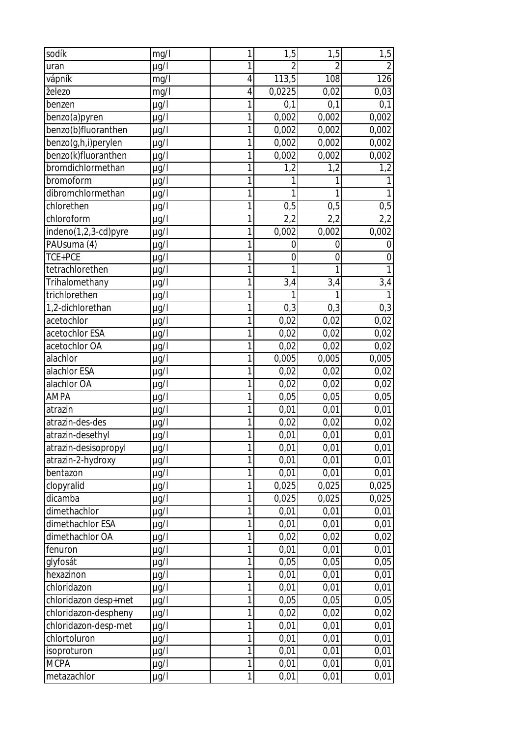| sodík                | mg/l      | 1              | 1,5            | 1,5            | 1,5            |
|----------------------|-----------|----------------|----------------|----------------|----------------|
| uran                 | $\mu$ g/l | 1              | $\overline{2}$ | $\overline{2}$ | $\overline{2}$ |
| vápník               | mg/l      | $\overline{4}$ | 113,5          | 108            | 126            |
| železo               | mg/l      | 4              | 0,0225         | 0,02           | 0,03           |
| benzen               | $\mu$ g/l | 1              | 0,1            | 0,1            | 0,1            |
| benzo(a)pyren        | $\mu$ g/l | 1              | 0,002          | 0,002          | 0,002          |
| benzo(b)fluoranthen  | µg/l      | 1              | 0,002          | 0,002          | 0,002          |
| benzo(g,h,i)perylen  | $\mu$ g/l | 1              | 0,002          | 0,002          | 0,002          |
| benzo(k)fluoranthen  | $\mu$ g/l | 1              | 0,002          | 0,002          | 0,002          |
| bromdichlormethan    | µg/l      | 1              | 1,2            | 1,2            | 1,2            |
| bromoform            | $\mu$ g/l | 1              |                |                |                |
| dibromchlormethan    | µg/l      | 1              |                |                |                |
| chlorethen           | $\mu$ g/l | 1              | 0,5            | 0,5            | 0,5            |
| chloroform           | µg/l      | 1              | 2,2            | 2,2            | 2,2            |
| indeno(1,2,3-cd)pyre | $\mu$ g/l | 1              | 0,002          | 0,002          | 0,002          |
| PAUsuma (4)          | µg/l      | 1              | $\overline{0}$ | $\mathbf 0$    | $\overline{0}$ |
| TCE+PCE              | $\mu$ g/l | 1              | $\overline{0}$ | $\overline{0}$ | 0              |
| tetrachlorethen      | $\mu$ g/l | 1              | 1              | 1              | 1              |
| Trihalomethany       | µg/l      | 1              | 3,4            | 3,4            | 3,4            |
| trichlorethen        | µg/l      | 1              | 1              | 1              |                |
| 1,2-dichlorethan     | µg/l      | 1              | 0,3            | 0,3            | 0,3            |
| acetochlor           | $\mu$ g/l | 1              | 0,02           | 0,02           | 0,02           |
| acetochlor ESA       | $\mu$ g/l | 1              | 0,02           | 0,02           | 0,02           |
| acetochlor OA        | $\mu$ g/l | 1              | 0,02           | 0,02           | 0,02           |
| alachlor             | $\mu$ g/l | $\mathbf{1}$   | 0,005          | 0,005          | 0,005          |
| alachlor ESA         | µg/l      | 1              | 0,02           | 0,02           | 0,02           |
| alachlor OA          | $\mu$ g/l | 1              | 0,02           | 0,02           | 0,02           |
| <b>AMPA</b>          | $\mu$ g/l | 1              | 0,05           | 0,05           | 0,05           |
| atrazin              | $\mu$ g/l | 1              | 0,01           | 0,01           | 0,01           |
| atrazin-des-des      | $\mu$ g/l | 1              | 0,02           | 0,02           | 0,02           |
| atrazin-desethyl     | $\mu$ g/l |                | 0,01           | 0,01           | 0,01           |
| atrazin-desisopropyl | $\mu$ g/l | $\mathbf{1}$   | 0,01           | 0,01           | 0,01           |
| atrazin-2-hydroxy    | µg/l      | 1              | 0,01           | 0,01           | 0,01           |
| bentazon             | µg/l      | 1              | 0,01           | 0,01           | 0,01           |
| clopyralid           | $\mu$ g/l | $\mathbf{1}$   | 0,025          | 0,025          | 0,025          |
| dicamba              | $\mu$ g/l | 1              | 0,025          | 0,025          | 0,025          |
| dimethachlor         | µg/l      | 1              | 0,01           | 0,01           | 0,01           |
| dimethachlor ESA     | µg/l      | 1              | 0,01           | 0,01           | 0,01           |
| dimethachlor OA      | µg/l      | 1              | 0,02           | 0,02           | 0,02           |
| fenuron              | µg/l      | 1              | 0,01           | 0,01           | 0,01           |
| glyfosát             | µg/l      | 1              | 0,05           | 0,05           | 0,05           |
| hexazinon            | µg/l      | 1              | 0,01           | 0,01           | 0,01           |
| chloridazon          | $\mu$ g/l | $\overline{1}$ | 0,01           | 0,01           | 0,01           |
| chloridazon desp+met | µg/l      | 1              | 0,05           | 0,05           | 0,05           |
| chloridazon-despheny | µg/l      | 1              | 0,02           | 0,02           | 0,02           |
| chloridazon-desp-met | µg/l      | 1              | 0,01           | 0,01           | 0,01           |
| chlortoluron         | µg/l      | 1              | 0,01           | 0,01           | 0,01           |
| isoproturon          | µg/l      | 1              | 0,01           | 0,01           | 0,01           |
| <b>MCPA</b>          | $\mu$ g/l | 1              | 0,01           | 0,01           | 0,01           |
| metazachlor          | µg/l      | $\mathbf{1}$   | 0,01           | 0,01           | 0,01           |